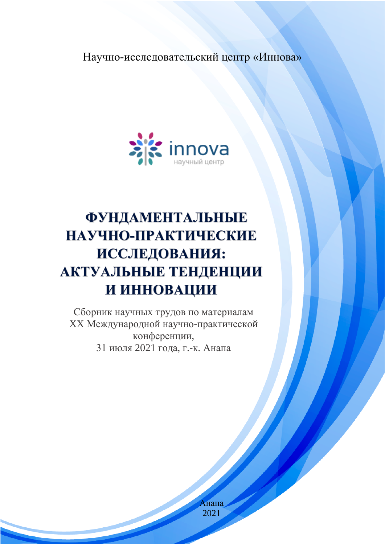### Научно-исследовательский центр «Иннова»



# **ФУНДАМЕНТАЛЬНЫЕ** НАУЧНО-ПРАКТИЧЕСКИЕ **ИССЛЕДОВАНИЯ:** АКТУАЛЬНЫЕ ТЕНДЕНЦИИ И ИННОВАЦИИ

Сборник научных трудов по материалам XX Международной научно-практической конференции, 31 июля 2021 года, г.-к. Анапа

> Анапа 2021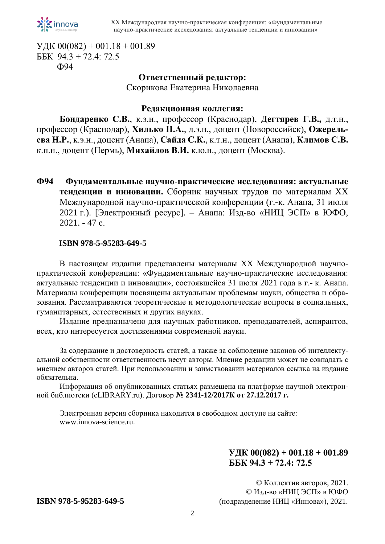

УДК  $00(082) + 001.18 + 001.89$ ББК 94.3 + 72.4: 72.5 Ф94

### **Ответственный редактор:**

Скорикова Екатерина Николаевна

#### **Редакционная коллегия:**

**Бондаренко С.В.**, к.э.н., профессор (Краснодар), **Дегтярев Г.В.,** д.т.н., профессор (Краснодар), **Хилько Н.А.**, д.э.н., доцент (Новороссийск), **Ожерельева Н.Р.**, к.э.н., доцент (Анапа), **Сайда С.К.**, к.т.н., доцент (Анапа), **Климов С.В.** к.п.н., доцент (Пермь), **Михайлов В.И.** к.ю.н., доцент (Москва).

**Ф94 Фундаментальные научно-практические исследования: актуальные тенденции и инновации.** Сборник научных трудов по материалам XX Международной научно-практической конференции (г.-к. Анапа, 31 июля 2021 г.). [Электронный ресурс]. – Анапа: Изд-во «НИЦ ЭСП» в ЮФО, 2021. - 47 с.

#### **ISBN 978-5-95283-649-5**

В настоящем издании представлены материалы XX Международной научнопрактической конференции: «Фундаментальные научно-практические исследования: актуальные тенденции и инновации», состоявшейся 31 июля 2021 года в г.- к. Анапа. Материалы конференции посвящены актуальным проблемам науки, общества и образования. Рассматриваются теоретические и методологические вопросы в социальных, гуманитарных, естественных и других науках.

Издание предназначено для научных работников, преподавателей, аспирантов, всех, кто интересуется достижениями современной науки.

За содержание и достоверность статей, а также за соблюдение законов об интеллектуальной собственности ответственность несут авторы. Мнение редакции может не совпадать с мнением авторов статей. При использовании и заимствовании материалов ссылка на издание обязательна.

Информация об опубликованных статьях размещена на платформе научной электронной библиотеки (eLIBRARY.ru). Договор **№ 2341-12/2017К от 27.12.2017 г.**

Электронная версия сборника находится в свободном доступе на сайте: www.innova-science.ru.

### **УДК 00(082) + 001.18 + 001.89 ББК 94.3 + 72.4: 72.5**

© Коллектив авторов, 2021. © Изд-во «НИЦ ЭСП» в ЮФО **ISBN 978-5-95283-649-5** (подразделение НИЦ «Иннова»), 2021.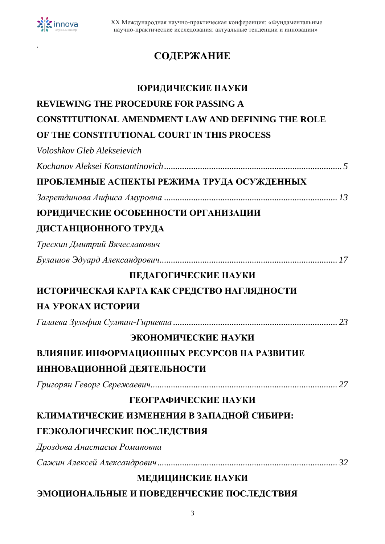

.

# **СОДЕРЖАНИЕ**

| ЮРИДИЧЕСКИЕ НАУКИ                                  |
|----------------------------------------------------|
| <b>REVIEWING THE PROCEDURE FOR PASSING A</b>       |
| CONSTITUTIONAL AMENDMENT LAW AND DEFINING THE ROLE |
| OF THE CONSTITUTIONAL COURT IN THIS PROCESS        |
| Voloshkov Gleb Alekseievich                        |
|                                                    |
| ПРОБЛЕМНЫЕ АСПЕКТЫ РЕЖИМА ТРУДА ОСУЖДЕННЫХ         |
|                                                    |
| ЮРИДИЧЕСКИЕ ОСОБЕННОСТИ ОРГАНИЗАЦИИ                |
| ДИСТАНЦИОННОГО ТРУДА                               |
| Трескин Дмитрий Вячеславович                       |
|                                                    |
| ПЕДАГОГИЧЕСКИЕ НАУКИ                               |
| ИСТОРИЧЕСКАЯ КАРТА КАК СРЕДСТВО НАГЛЯДНОСТИ        |
| НА УРОКАХ ИСТОРИИ                                  |
|                                                    |
| ЭКОНОМИЧЕСКИЕ НАУКИ                                |
| ВЛИЯНИЕ ИНФОРМАЦИОННЫХ РЕСУРСОВ НА РАЗВИТИЕ        |
| ИННОВАЦИОННОЙ ДЕЯТЕЛЬНОСТИ                         |
|                                                    |
| ГЕОГРАФИЧЕСКИЕ НАУКИ                               |
| КЛИМАТИЧЕСКИЕ ИЗМЕНЕНИЯ В ЗАПАДНОЙ СИБИРИ:         |
| ГЕЭКОЛОГИЧЕСКИЕ ПОСЛЕДСТВИЯ                        |
| Дроздова Анастасия Романовна                       |
|                                                    |
| МЕДИЦИНСКИЕ НАУКИ                                  |
| ЭМОЦИОНАЛЬНЫЕ И ПОВЕДЕНЧЕСКИЕ ПОСЛЕДСТВИЯ          |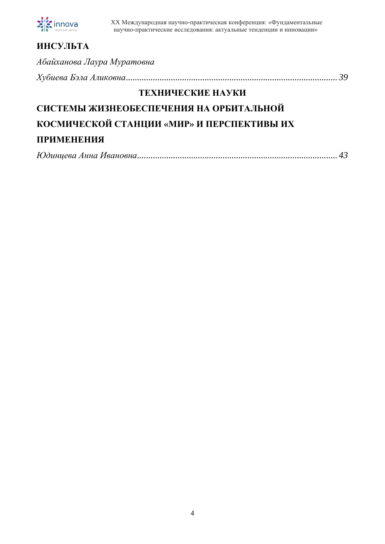

| <b>ИНСУЛЬТА</b>                            |
|--------------------------------------------|
| Абайханова Лаура Муратовна                 |
|                                            |
| ТЕХНИЧЕСКИЕ НАУКИ                          |
| СИСТЕМЫ ЖИЗНЕОБЕСПЕЧЕНИЯ НА ОРБИТАЛЬНОЙ    |
| КОСМИЧЕСКОЙ СТАНЦИИ «МИР» И ПЕРСПЕКТИВЫ ИХ |
| <b>ПРИМЕНЕНИЯ</b>                          |

|--|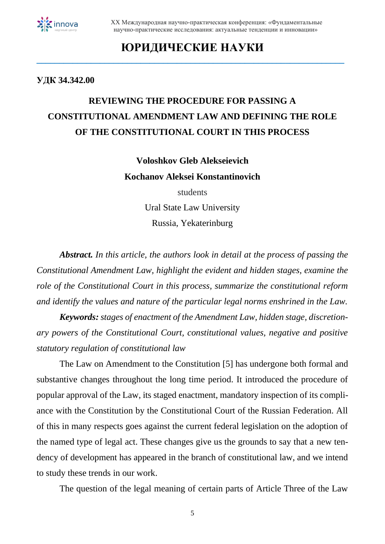

### **ЮРИДИЧЕСКИЕ НАУКИ \_\_\_\_\_\_\_\_\_\_\_\_\_\_\_\_\_\_\_\_\_\_\_\_\_\_\_\_\_\_\_\_\_\_\_\_\_\_\_\_\_\_\_\_\_\_\_\_\_\_\_\_\_\_\_\_\_\_\_\_\_\_\_\_\_\_\_\_**

#### **УДК 34.342.00**

# **REVIEWING THE PROCEDURE FOR PASSING A CONSTITUTIONAL AMENDMENT LAW AND DEFINING THE ROLE OF THE CONSTITUTIONAL COURT IN THIS PROCESS**

**Voloshkov Gleb Alekseievich Kochanov Aleksei Konstantinovich**

> students Ural State Law University Russia, Yekaterinburg

*Abstract. In this article, the authors look in detail at the process of passing the Constitutional Amendment Law, highlight the evident and hidden stages, examine the role of the Constitutional Court in this process, summarize the constitutional reform and identify the values and nature of the particular legal norms enshrined in the Law.*

*Keywords: stages of enactment of the Amendment Law, hidden stage, discretionary powers of the Constitutional Court, constitutional values, negative and positive statutory regulation of constitutional law*

The Law on Amendment to the Constitution [5] has undergone both formal and substantive changes throughout the long time period. It introduced the procedure of popular approval of the Law, its staged enactment, mandatory inspection of its compliance with the Constitution by the Constitutional Court of the Russian Federation. All of this in many respects goes against the current federal legislation on the adoption of the named type of legal act. These changes give us the grounds to say that a new tendency of development has appeared in the branch of constitutional law, and we intend to study these trends in our work.

The question of the legal meaning of certain parts of Article Three of the Law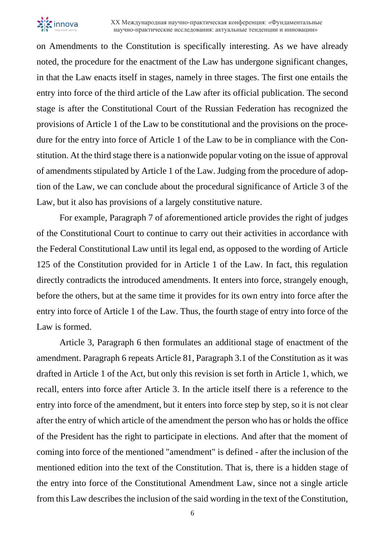

on Amendments to the Constitution is specifically interesting. As we have already noted, the procedure for the enactment of the Law has undergone significant changes, in that the Law enacts itself in stages, namely in three stages. The first one entails the entry into force of the third article of the Law after its official publication. The second stage is after the Constitutional Court of the Russian Federation has recognized the provisions of Article 1 of the Law to be constitutional and the provisions on the procedure for the entry into force of Article 1 of the Law to be in compliance with the Constitution. At the third stage there is a nationwide popular voting on the issue of approval of amendments stipulated by Article 1 of the Law. Judging from the procedure of adoption of the Law, we can conclude about the procedural significance of Article 3 of the Law, but it also has provisions of a largely constitutive nature.

For example, Paragraph 7 of aforementioned article provides the right of judges of the Constitutional Court to continue to carry out their activities in accordance with the Federal Constitutional Law until its legal end, as opposed to the wording of Article 125 of the Constitution provided for in Article 1 of the Law. In fact, this regulation directly contradicts the introduced amendments. It enters into force, strangely enough, before the others, but at the same time it provides for its own entry into force after the entry into force of Article 1 of the Law. Thus, the fourth stage of entry into force of the Law is formed.

Article 3, Paragraph 6 then formulates an additional stage of enactment of the amendment. Paragraph 6 repeats Article 81, Paragraph 3.1 of the Constitution as it was drafted in Article 1 of the Act, but only this revision is set forth in Article 1, which, we recall, enters into force after Article 3. In the article itself there is a reference to the entry into force of the amendment, but it enters into force step by step, so it is not clear after the entry of which article of the amendment the person who has or holds the office of the President has the right to participate in elections. And after that the moment of coming into force of the mentioned "amendment" is defined - after the inclusion of the mentioned edition into the text of the Constitution. That is, there is a hidden stage of the entry into force of the Constitutional Amendment Law, since not a single article from this Law describes the inclusion of the said wording in the text of the Constitution,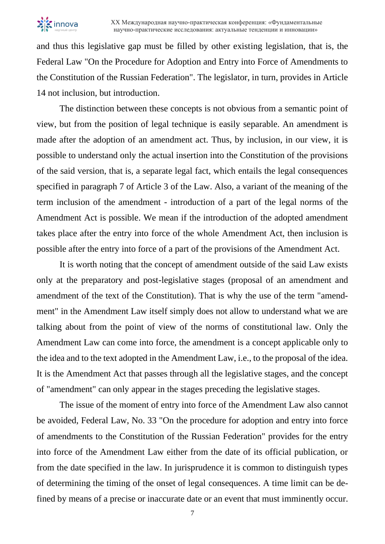

and thus this legislative gap must be filled by other existing legislation, that is, the Federal Law "On the Procedure for Adoption and Entry into Force of Amendments to the Constitution of the Russian Federation". The legislator, in turn, provides in Article 14 not inclusion, but introduction.

The distinction between these concepts is not obvious from a semantic point of view, but from the position of legal technique is easily separable. An amendment is made after the adoption of an amendment act. Thus, by inclusion, in our view, it is possible to understand only the actual insertion into the Constitution of the provisions of the said version, that is, a separate legal fact, which entails the legal consequences specified in paragraph 7 of Article 3 of the Law. Also, a variant of the meaning of the term inclusion of the amendment - introduction of a part of the legal norms of the Amendment Act is possible. We mean if the introduction of the adopted amendment takes place after the entry into force of the whole Amendment Act, then inclusion is possible after the entry into force of a part of the provisions of the Amendment Act.

It is worth noting that the concept of amendment outside of the said Law exists only at the preparatory and post-legislative stages (proposal of an amendment and amendment of the text of the Constitution). That is why the use of the term "amendment" in the Amendment Law itself simply does not allow to understand what we are talking about from the point of view of the norms of constitutional law. Only the Amendment Law can come into force, the amendment is a concept applicable only to the idea and to the text adopted in the Amendment Law, i.e., to the proposal of the idea. It is the Amendment Act that passes through all the legislative stages, and the concept of "amendment" can only appear in the stages preceding the legislative stages.

The issue of the moment of entry into force of the Amendment Law also cannot be avoided, Federal Law, No. 33 "On the procedure for adoption and entry into force of amendments to the Constitution of the Russian Federation" provides for the entry into force of the Amendment Law either from the date of its official publication, or from the date specified in the law. In jurisprudence it is common to distinguish types of determining the timing of the onset of legal consequences. A time limit can be defined by means of a precise or inaccurate date or an event that must imminently occur.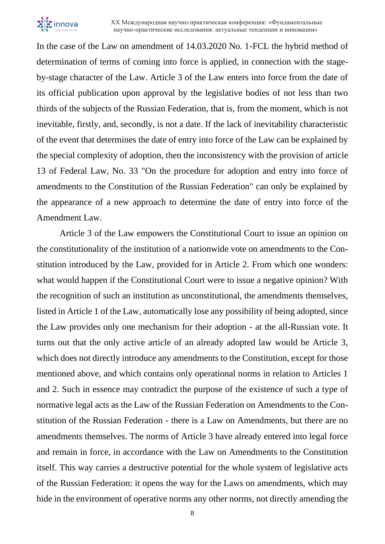

In the case of the Law on amendment of 14.03.2020 No. 1-FCL the hybrid method of determination of terms of coming into force is applied, in connection with the stageby-stage character of the Law. Article 3 of the Law enters into force from the date of its official publication upon approval by the legislative bodies of not less than two thirds of the subjects of the Russian Federation, that is, from the moment, which is not inevitable, firstly, and, secondly, is not a date. If the lack of inevitability characteristic of the event that determines the date of entry into force of the Law can be explained by the special complexity of adoption, then the inconsistency with the provision of article 13 of Federal Law, No. 33 "On the procedure for adoption and entry into force of amendments to the Constitution of the Russian Federation" can only be explained by the appearance of a new approach to determine the date of entry into force of the Amendment Law.

Article 3 of the Law empowers the Constitutional Court to issue an opinion on the constitutionality of the institution of a nationwide vote on amendments to the Constitution introduced by the Law, provided for in Article 2. From which one wonders: what would happen if the Constitutional Court were to issue a negative opinion? With the recognition of such an institution as unconstitutional, the amendments themselves, listed in Article 1 of the Law, automatically lose any possibility of being adopted, since the Law provides only one mechanism for their adoption - at the all-Russian vote. It turns out that the only active article of an already adopted law would be Article 3, which does not directly introduce any amendments to the Constitution, except for those mentioned above, and which contains only operational norms in relation to Articles 1 and 2. Such in essence may contradict the purpose of the existence of such a type of normative legal acts as the Law of the Russian Federation on Amendments to the Constitution of the Russian Federation - there is a Law on Amendments, but there are no amendments themselves. The norms of Article 3 have already entered into legal force and remain in force, in accordance with the Law on Amendments to the Constitution itself. This way carries a destructive potential for the whole system of legislative acts of the Russian Federation: it opens the way for the Laws on amendments, which may hide in the environment of operative norms any other norms, not directly amending the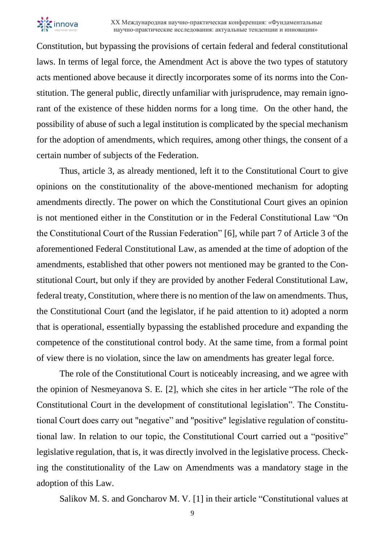

Constitution, but bypassing the provisions of certain federal and federal constitutional laws. In terms of legal force, the Amendment Act is above the two types of statutory acts mentioned above because it directly incorporates some of its norms into the Constitution. The general public, directly unfamiliar with jurisprudence, may remain ignorant of the existence of these hidden norms for a long time. On the other hand, the possibility of abuse of such a legal institution is complicated by the special mechanism for the adoption of amendments, which requires, among other things, the consent of a certain number of subjects of the Federation.

Thus, article 3, as already mentioned, left it to the Constitutional Court to give opinions on the constitutionality of the above-mentioned mechanism for adopting amendments directly. The power on which the Constitutional Court gives an opinion is not mentioned either in the Constitution or in the Federal Constitutional Law "On the Constitutional Court of the Russian Federation" [6], while part 7 of Article 3 of the aforementioned Federal Constitutional Law, as amended at the time of adoption of the amendments, established that other powers not mentioned may be granted to the Constitutional Court, but only if they are provided by another Federal Constitutional Law, federal treaty, Constitution, where there is no mention of the law on amendments. Thus, the Constitutional Court (and the legislator, if he paid attention to it) adopted a norm that is operational, essentially bypassing the established procedure and expanding the competence of the constitutional control body. At the same time, from a formal point of view there is no violation, since the law on amendments has greater legal force.

The role of the Constitutional Court is noticeably increasing, and we agree with the opinion of Nesmeyanova S. E. [2], which she cites in her article "The role of the Constitutional Court in the development of constitutional legislation". The Constitutional Court does carry out "negative" and "positive" legislative regulation of constitutional law. In relation to our topic, the Constitutional Court carried out a "positive" legislative regulation, that is, it was directly involved in the legislative process. Checking the constitutionality of the Law on Amendments was a mandatory stage in the adoption of this Law.

Salikov M. S. and Goncharov M. V. [1] in their article "Constitutional values at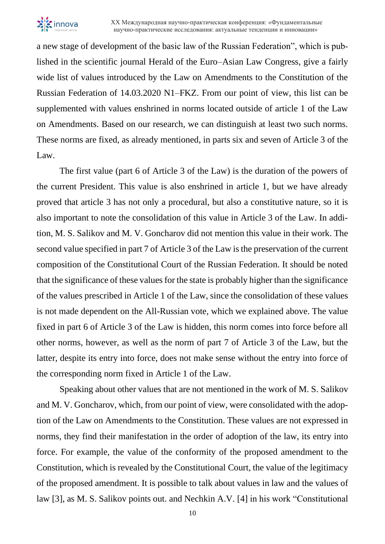

a new stage of development of the basic law of the Russian Federation", which is published in the scientific journal Herald of the Euro–Asian Law Congress, give a fairly wide list of values introduced by the Law on Amendments to the Constitution of the Russian Federation of 14.03.2020 N1–FKZ. From our point of view, this list can be supplemented with values enshrined in norms located outside of article 1 of the Law on Amendments. Based on our research, we can distinguish at least two such norms. These norms are fixed, as already mentioned, in parts six and seven of Article 3 of the Law.

The first value (part 6 of Article 3 of the Law) is the duration of the powers of the current President. This value is also enshrined in article 1, but we have already proved that article 3 has not only a procedural, but also a constitutive nature, so it is also important to note the consolidation of this value in Article 3 of the Law. In addition, M. S. Salikov and M. V. Goncharov did not mention this value in their work. The second value specified in part 7 of Article 3 of the Law is the preservation of the current composition of the Constitutional Court of the Russian Federation. It should be noted that the significance of these values for the state is probably higher than the significance of the values prescribed in Article 1 of the Law, since the consolidation of these values is not made dependent on the All-Russian vote, which we explained above. The value fixed in part 6 of Article 3 of the Law is hidden, this norm comes into force before all other norms, however, as well as the norm of part 7 of Article 3 of the Law, but the latter, despite its entry into force, does not make sense without the entry into force of the corresponding norm fixed in Article 1 of the Law.

Speaking about other values that are not mentioned in the work of M. S. Salikov and M. V. Goncharov, which, from our point of view, were consolidated with the adoption of the Law on Amendments to the Constitution. These values are not expressed in norms, they find their manifestation in the order of adoption of the law, its entry into force. For example, the value of the conformity of the proposed amendment to the Constitution, which is revealed by the Constitutional Court, the value of the legitimacy of the proposed amendment. It is possible to talk about values in law and the values of law [3], as M. S. Salikov points out. and Nechkin A.V. [4] in his work "Constitutional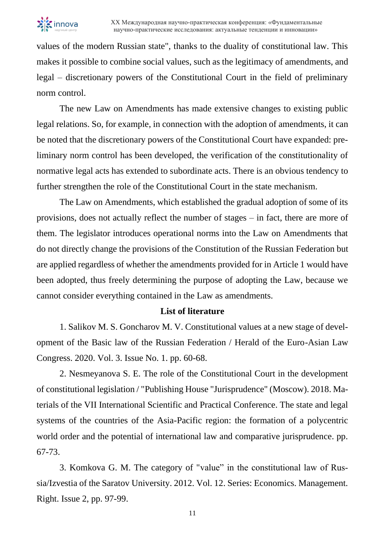

values of the modern Russian state", thanks to the duality of constitutional law. This makes it possible to combine social values, such as the legitimacy of amendments, and legal – discretionary powers of the Constitutional Court in the field of preliminary norm control.

The new Law on Amendments has made extensive changes to existing public legal relations. So, for example, in connection with the adoption of amendments, it can be noted that the discretionary powers of the Constitutional Court have expanded: preliminary norm control has been developed, the verification of the constitutionality of normative legal acts has extended to subordinate acts. There is an obvious tendency to further strengthen the role of the Constitutional Court in the state mechanism.

The Law on Amendments, which established the gradual adoption of some of its provisions, does not actually reflect the number of stages – in fact, there are more of them. The legislator introduces operational norms into the Law on Amendments that do not directly change the provisions of the Constitution of the Russian Federation but are applied regardless of whether the amendments provided for in Article 1 would have been adopted, thus freely determining the purpose of adopting the Law, because we cannot consider everything contained in the Law as amendments.

#### **List of literature**

1. Salikov M. S. Goncharov M. V. Constitutional values at a new stage of development of the Basic law of the Russian Federation / Herald of the Euro-Asian Law Congress. 2020. Vol. 3. Issue No. 1. pp. 60-68.

2. Nesmeyanova S. E. The role of the Constitutional Court in the development of constitutional legislation / "Publishing House "Jurisprudence" (Moscow). 2018. Materials of the VII International Scientific and Practical Conference. The state and legal systems of the countries of the Asia-Pacific region: the formation of a polycentric world order and the potential of international law and comparative jurisprudence. pp. 67-73.

3. Komkova G. M. The category of "value" in the constitutional law of Russia/Izvestia of the Saratov University. 2012. Vol. 12. Series: Economics. Management. Right. Issue 2, pp. 97-99.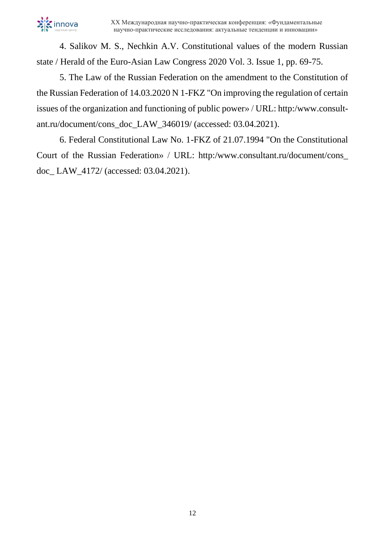

4. Salikov M. S., Nechkin A.V. Constitutional values of the modern Russian state / Herald of the Euro-Asian Law Congress 2020 Vol. 3. Issue 1, pp. 69-75.

5. The Law of the Russian Federation on the amendment to the Constitution of the Russian Federation of 14.03.2020 N 1-FKZ "On improving the regulation of certain issues of the organization and functioning of public power» / URL: http:/www.consultant.ru/document/cons\_doc\_LAW\_346019/ (accessed: 03.04.2021).

6. Federal Constitutional Law No. 1-FKZ of 21.07.1994 "On the Constitutional Court of the Russian Federation» / URL: http:/www.consultant.ru/document/cons\_ doc\_ LAW\_4172/ (accessed: 03.04.2021).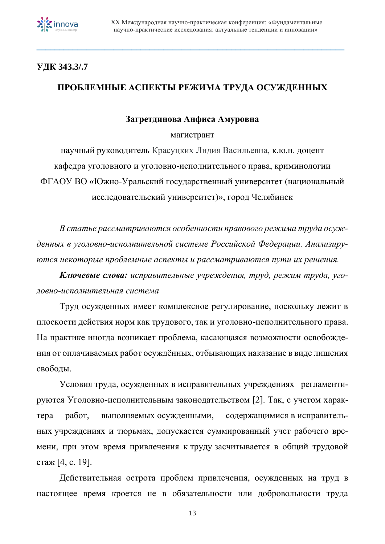

### **УДК 343.3/.7**

### **ПРОБЛЕМНЫЕ АСПЕКТЫ РЕЖИМА ТРУДА ОСУЖДЕННЫХ**

**\_\_\_\_\_\_\_\_\_\_\_\_\_\_\_\_\_\_\_\_\_\_\_\_\_\_\_\_\_\_\_\_\_\_\_\_\_\_\_\_\_\_\_\_\_\_\_\_\_\_\_\_\_\_\_\_\_\_\_\_\_\_\_\_\_\_\_\_**

### **Загретдинова Анфиса Амуровна**

#### магистрант

научный руководитель Красуцких Лидия Васильевна, к.ю.н. доцент кафедра уголовного и уголовно-исполнительного права, криминологии ФГАОУ ВО «Южно-Уральский государственный университет (национальный исследовательский университет)», город Челябинск

*В статье рассматриваются особенности правового режима труда осужденных в уголовно-исполнительной системе Российской Федерации. Анализируются некоторые проблемные аспекты и рассматриваются пути их решения.*

*Ключевые слова: исправительные учреждения, труд, режим труда, уголовно-исполнительная система*

Труд осужденных имеет комплексное регулирование, поскольку лежит в плоскости действия норм как трудового, так и уголовно-исполнительного права. На практике иногда возникает проблема, касающаяся возможности освобождения от оплачиваемых работ осуждённых, отбывающих наказание в виде лишения свободы.

Условия труда, осужденных в исправительных учреждениях регламентируются Уголовно-исполнительным законодательством [2]. Так, с учетом характера работ, выполняемых осужденными, содержащимися в исправительных учреждениях и тюрьмах, допускается суммированный учет рабочего времени, при этом время привлечения к труду засчитывается в общий трудовой стаж [4, с. 19].

Действительная острота проблем привлечения, осужденных на труд в настоящее время кроется не в обязательности или добровольности труда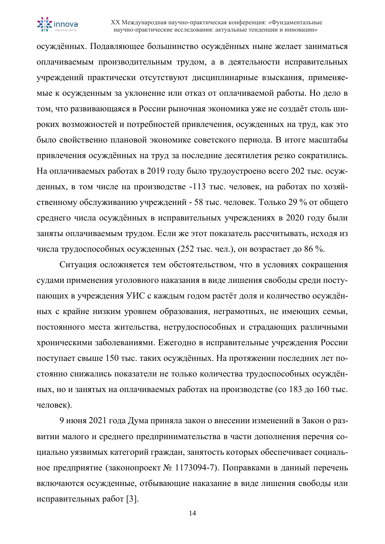

осуждённых. Подавляющее большинство осуждённых ныне желает заниматься оплачиваемым производительным трудом, а в деятельности исправительных учреждений практически отсутствуют дисциплинарные взыскания, применяемые к осужденным за уклонение или отказ от оплачиваемой работы. Но дело в том, что развивающаяся в России рыночная экономика уже не создаёт столь широких возможностей и потребностей привлечения, осужденных на труд, как это было свойственно плановой экономике советского периода. В итоге масштабы привлечения осуждённых на труд за последние десятилетия резко сократились. На оплачиваемых работах в 2019 году было трудоустроено всего 202 тыс. осужденных, в том числе на производстве -113 тыс. человек, на работах по хозяйственному обслуживанию учреждений - 58 тыс. человек. Только 29 % от общего среднего числа осуждённых в исправительных учреждениях в 2020 году были заняты оплачиваемым трудом. Если же этот показатель рассчитывать, исходя из числа трудоспособных осужденных (252 тыс. чел.), он возрастает до 86 %.

Ситуация осложняется тем обстоятельством, что в условиях сокращения судами применения уголовного наказания в виде лишения свободы среди поступающих в учреждения УИС с каждым годом растёт доля и количество осуждённых с крайне низким уровнем образования, неграмотных, не имеющих семьи, постоянного места жительства, нетрудоспособных и страдающих различными хроническими заболеваниями. Ежегодно в исправительные учреждения России поступает свыше 150 тыс. таких осуждённых. На протяжении последних лет постоянно снижались показатели не только количества трудоспособных осуждённых, но и занятых на оплачиваемых работах на производстве (со 183 до 160 тыс. человек).

9 июня 2021 года Дума приняла закон о внесении изменений в Закон о развитии малого и среднего предпринимательства в части дополнения перечня социально уязвимых категорий граждан, занятость которых обеспечивает социальное предприятие [\(законопроект](https://sozd.duma.gov.ru/bill/1173094-7) № 1173094-7). Поправками в данный перечень включаются осужденные, отбывающие наказание в виде лишения свободы или исправительных работ [3].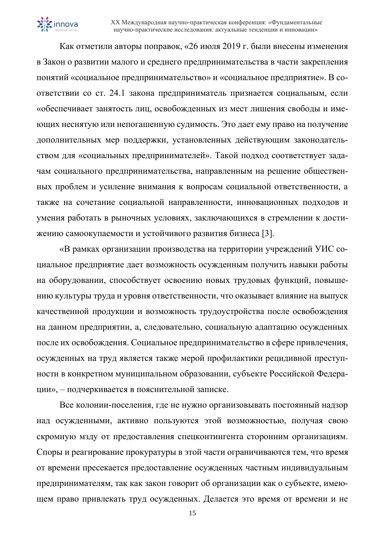

Как отметили авторы поправок, «26 июля 2019 г. были внесены изменения в Закон о развитии малого и среднего предпринимательства в части закрепления понятий «социальное предпринимательство» и «социальное предприятие». В соответствии со ст. 24.1 закона предприниматель признается социальным, если «обеспечивает занятость лиц, освобожденных из мест лишения свободы и имеющих неснятую или непогашенную судимость. Это дает ему право на получение дополнительных мер поддержки, установленных действующим законодательством для «социальных предпринимателей». Такой подход соответствует задачам социального предпринимательства, направленным на решение общественных проблем и усиление внимания к вопросам социальной ответственности, а также на сочетание социальной направленности, инновационных подходов и умения работать в рыночных условиях, заключающихся в стремлении к достижению самоокупаемости и устойчивого развития бизнеса [3].

«В рамках организации производства на территории учреждений УИС социальное предприятие дает возможность осужденным получить навыки работы на оборудовании, способствует освоению новых трудовых функций, повышению культуры труда и уровня ответственности, что оказывает влияние на выпуск качественной продукции и возможность трудоустройства после освобождения на данном предприятии, а, следовательно, социальную адаптацию осужденных после их освобождения. Социальное предпринимательство в сфере привлечения, осужденных на труд является также мерой профилактики рецидивной преступности в конкретном муниципальном образовании, субъекте Российской Федерации», – подчеркивается в пояснительной записке.

Все колонии-поселения, где не нужно организовывать постоянный надзор над осужденными, активно пользуются этой возможностью, получая свою скромную мзду от предоставления спецконтингента сторонним организациям. Споры и реагирование прокуратуры в этой части ограничиваются тем, что время от времени пресекается предоставление осужденных частным индивидуальным предпринимателям, так как закон говорит об организации как о субъекте, имеющем право привлекать труд осужденных. Делается это время от времени и не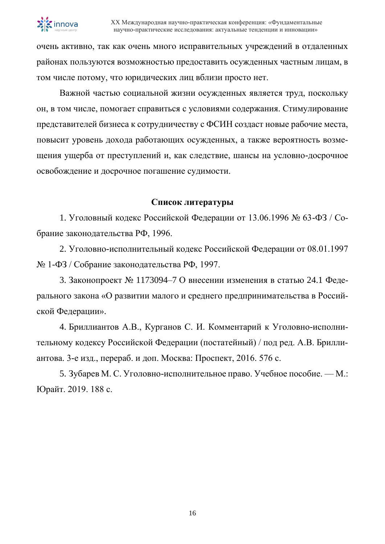

очень активно, так как очень много исправительных учреждений в отдаленных районах пользуются возможностью предоставить осужденных частным лицам, в том числе потому, что юридических лиц вблизи просто нет.

Важной частью социальной жизни осужденных является труд, поскольку он, в том числе, помогает справиться с условиями содержания. Стимулирование представителей бизнеса к сотрудничеству с ФСИН создаст новые рабочие места, повысит уровень дохода работающих осужденных, а также вероятность возмещения ущерба от преступлений и, как следствие, шансы на условно-досрочное освобождение и досрочное погашение судимости.

### **Список литературы**

1. Уголовный кодекс Российской Федерации от 13.06.1996 № 63-ФЗ / Собрание законодательства РФ, 1996.

2. Уголовно-исполнительный кодекс Российской Федерации от 08.01.1997 № 1-ФЗ / Собрание законодательства РФ, 1997.

3. Законопроект № 1173094–7 О внесении изменения в статью 24.1 Федерального закона «О развитии малого и среднего предпринимательства в Российской Федерации».

4. Бриллиантов А.В., Курганов С. И. Комментарий к Уголовно-исполнительному кодексу Российской Федерации (постатейный) / под ред. А.В. Бриллиантова. 3-е изд., перераб. и доп. Москва: Проспект, 2016. 576 с.

5. Зубарев М. С. Уголовно-исполнительное право. Учебное пособие. — М.: Юрайт. 2019. 188 с.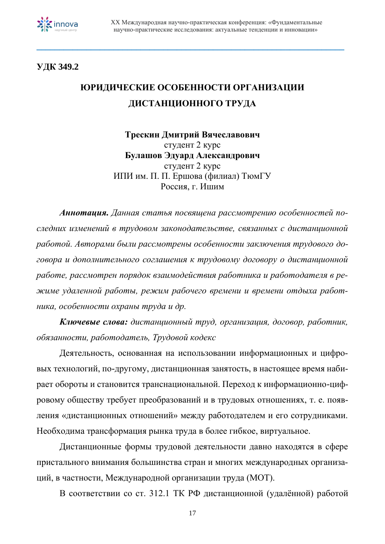

**УДК 349.2**

# **ЮРИДИЧЕСКИЕ ОСОБЕННОСТИ ОРГАНИЗАЦИИ ДИСТАНЦИОННОГО ТРУДА**

**\_\_\_\_\_\_\_\_\_\_\_\_\_\_\_\_\_\_\_\_\_\_\_\_\_\_\_\_\_\_\_\_\_\_\_\_\_\_\_\_\_\_\_\_\_\_\_\_\_\_\_\_\_\_\_\_\_\_\_\_\_\_\_\_\_\_\_\_**

**Трескин Дмитрий Вячеславович** студент 2 курс **Булашов Эдуард Александрович** студент 2 курс ИПИ им. П. П. Ершова (филиал) ТюмГУ Россия, г. Ишим

*Аннотация. Данная статья посвящена рассмотрению особенностей последних изменений в трудовом законодательстве, связанных с дистанционной работой. Авторами были рассмотрены особенности заключения трудового договора и дополнительного соглашения к трудовому договору о дистанционной работе, рассмотрен порядок взаимодействия работника и работодателя в режиме удаленной работы, режим рабочего времени и времени отдыха работника, особенности охраны труда и др.*

*Ключевые слова: дистанционный труд, организация, договор, работник, обязанности, работодатель, Трудовой кодекс*

Деятельность, основанная на использовании информационных и цифровых технологий, по-другому, дистанционная занятость, в настоящее время набирает обороты и становится транснациональной. Переход к информационно-цифровому обществу требует преобразований и в трудовых отношениях, т. е. появления «дистанционных отношений» между работодателем и его сотрудниками. Необходима трансформация рынка труда в более гибкое, виртуальное.

Дистанционные формы трудовой деятельности давно находятся в сфере пристального внимания большинства стран и многих международных организаций, в частности, Международной организации труда (МОТ).

В соответствии со ст. 312.1 ТК РФ дистанционной (удалённой) работой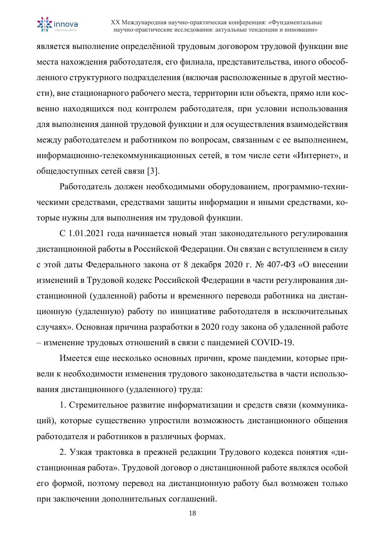

является выполнение определённой трудовым договором трудовой функции вне места нахождения работодателя, его филиала, представительства, иного обособленного структурного подразделения (включая расположенные в другой местности), вне стационарного рабочего места, территории или объекта, прямо или косвенно находящихся под контролем работодателя, при условии использования для выполнения данной трудовой функции и для осуществления взаимодействия между работодателем и работником по вопросам, связанным с ее выполнением, информационно-телекоммуникационных сетей, в том числе сети «Интернет», и общедоступных сетей связи [3].

Работодатель должен необходимыми оборудованием, программно-техническими средствами, средствами защиты информации и иными средствами, которые нужны для выполнения им трудовой функции.

С 1.01.2021 года начинается новый этап законодательного регулирования дистанционной работы в Российской Федерации. Он связан с вступлением в силу с этой даты Федерального закона от 8 декабря 2020 г. № 407-ФЗ «О внесении изменений в Трудовой кодекс Российской Федерации в части регулирования дистанционной (удаленной) работы и временного перевода работника на дистанционную (удаленную) работу по инициативе работодателя в исключительных случаях». Основная причина разработки в 2020 году закона об удаленной работе – изменение трудовых отношений в связи с пандемией COVID-19.

Имеется еще несколько основных причин, кроме пандемии, которые привели к необходимости изменения трудового законодательства в части использования дистанционного (удаленного) труда:

1. Стремительное развитие информатизации и средств связи (коммуникаций), которые существенно упростили возможность дистанционного общения работодателя и работников в различных формах.

2. Узкая трактовка в прежней редакции Трудового кодекса понятия «дистанционная работа». Трудовой договор о дистанционной работе являлся особой его формой, поэтому перевод на дистанционную работу был возможен только при заключении дополнительных соглашений.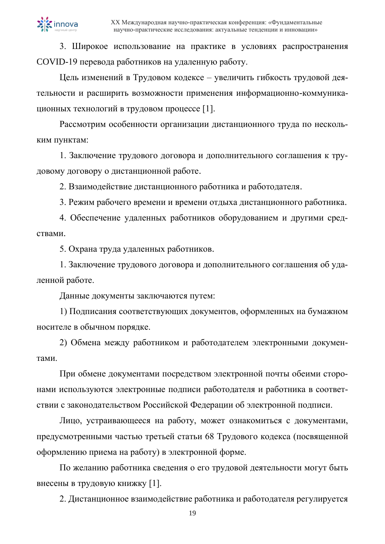3. Широкое использование на практике в условиях распространения COVID-19 перевода работников на удаленную работу.

Цель изменений в Трудовом кодексе – увеличить гибкость трудовой деятельности и расширить возможности применения информационно-коммуникационных технологий в трудовом процессе [1].

Рассмотрим особенности организации дистанционного труда по нескольким пунктам:

1. Заключение трудового договора и дополнительного соглашения к трудовому договору о дистанционной работе.

2. Взаимодействие дистанционного работника и работодателя.

3. Режим рабочего времени и времени отдыха дистанционного работника.

4. Обеспечение удаленных работников оборудованием и другими средствами.

5. Охрана труда удаленных работников.

1. Заключение трудового договора и дополнительного соглашения об удаленной работе.

Данные документы заключаются путем:

1) Подписания соответствующих документов, оформленных на бумажном носителе в обычном порядке.

2) Обмена между работником и работодателем электронными документами.

При обмене документами посредством электронной почты обеими сторонами используются электронные подписи работодателя и работника в соответствии с законодательством Российской Федерации об электронной подписи.

Лицо, устраивающееся на работу, может ознакомиться с документами, предусмотренными частью третьей статьи 68 Трудового кодекса (посвященной оформлению приема на работу) в электронной форме.

По желанию работника сведения о его трудовой деятельности могут быть внесены в трудовую книжку [1].

2. Дистанционное взаимодействие работника и работодателя регулируется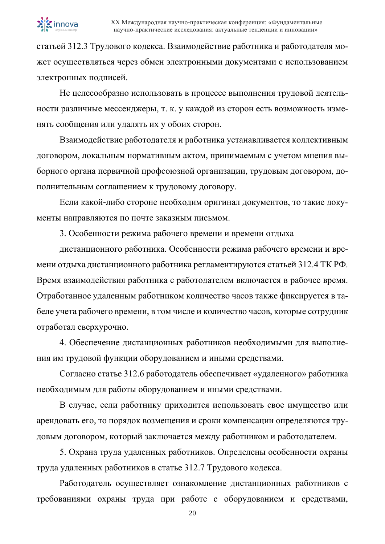

статьей 312.3 Трудового кодекса. Взаимодействие работника и работодателя может осуществляться через обмен электронными документами с использованием электронных подписей.

Не целесообразно использовать в процессе выполнения трудовой деятельности различные мессенджеры, т. к. у каждой из сторон есть возможность изменять сообщения или удалять их у обоих сторон.

Взаимодействие работодателя и работника устанавливается коллективным договором, локальным нормативным актом, принимаемым с учетом мнения выборного органа первичной профсоюзной организации, трудовым договором, дополнительным соглашением к трудовому договору.

Если какой-либо стороне необходим оригинал документов, то такие документы направляются по почте заказным письмом.

3. Особенности режима рабочего времени и времени отдыха

дистанционного работника. Особенности режима рабочего времени и времени отдыха дистанционного работника регламентируются статьей 312.4 ТК РФ. Время взаимодействия работника с работодателем включается в рабочее время. Отработанное удаленным работником количество часов также фиксируется в табеле учета рабочего времени, в том числе и количество часов, которые сотрудник отработал сверхурочно.

4. Обеспечение дистанционных работников необходимыми для выполнения им трудовой функции оборудованием и иными средствами.

Согласно статье 312.6 работодатель обеспечивает «удаленного» работника необходимым для работы оборудованием и иными средствами.

В случае, если работнику приходится использовать свое имущество или арендовать его, то порядок возмещения и сроки компенсации определяются трудовым договором, который заключается между работником и работодателем.

5. Охрана труда удаленных работников. Определены особенности охраны труда удаленных работников в статье 312.7 Трудового кодекса.

Работодатель осуществляет ознакомление дистанционных работников с требованиями охраны труда при работе с оборудованием и средствами,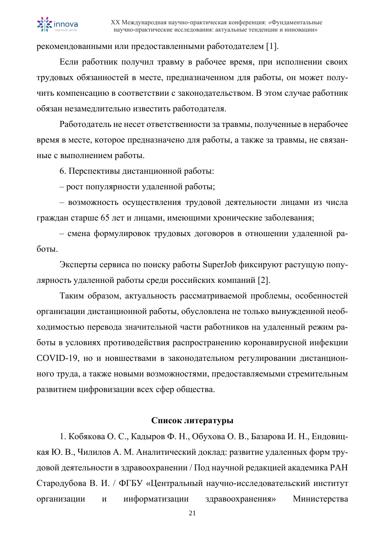

рекомендованными или предоставленными работодателем [1].

Если работник получил травму в рабочее время, при исполнении своих трудовых обязанностей в месте, предназначенном для работы, он может получить компенсацию в соответствии с законодательством. В этом случае работник обязан незамедлительно известить работодателя.

Работодатель не несет ответственности за травмы, полученные в нерабочее время в месте, которое предназначено для работы, а также за травмы, не связанные с выполнением работы.

6. Перспективы дистанционной работы:

– рост популярности удаленной работы;

– возможность осуществления трудовой деятельности лицами из числа граждан старше 65 лет и лицами, имеющими хронические заболевания;

– смена формулировок трудовых договоров в отношении удаленной работы.

Эксперты сервиса по поиску работы SuperJob фиксируют растущую популярность удаленной работы среди российских компаний [2].

Таким образом, актуальность рассматриваемой проблемы, особенностей организации дистанционной работы, обусловлена не только вынужденной необходимостью перевода значительной части работников на удаленный режим работы в условиях противодействия распространению коронавирусной инфекции COVID-19, но и новшествами в законодательном регулировании дистанционного труда, а также новыми возможностями, предоставляемыми стремительным развитием цифровизации всех сфер общества.

#### **Список литературы**

1. Кобякова О. С., Кадыров Ф. Н., Обухова О. В., Базарова И. Н., Ендовицкая Ю. В., Чилилов А. М. Аналитический доклад: развитие удаленных форм трудовой деятельности в здравоохранении / Под научной редакцией академика РАН Стародубова В. И. / ФГБУ «Центральный научно-исследовательский институт организации и информатизации здравоохранения» Министерства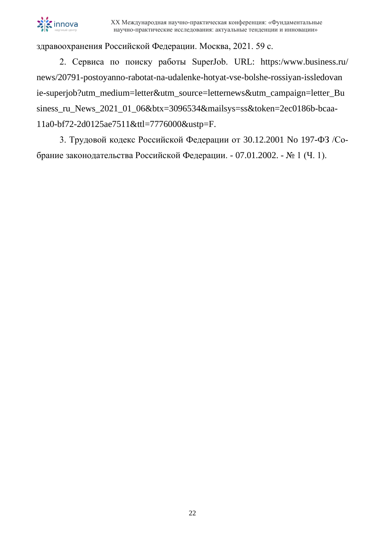

здравоохранения Российской Федерации. Москва, 2021. 59 с.

2. Сервиса по поиску работы SuperJob. URL: https:/www.business.ru/ news/20791-postoyanno-rabotat-na-udalenke-hotyat-vse-bolshe-rossiyan-issledovan ie-superjob?utm\_medium=letter&utm\_source=letternews&utm\_campaign=letter\_Bu siness\_ru\_News\_2021\_01\_06&btx=3096534&mailsys=ss&token=2ec0186b-bcaa-11a0-bf72-2d0125ae7511&ttl=7776000&ustp=F.

3. Трудовой кодекс Российской Федерации от 30.12.2001 No 197-ФЗ /Собрание законодательства Российской Федерации. - 07.01.2002. - № 1 (Ч. 1).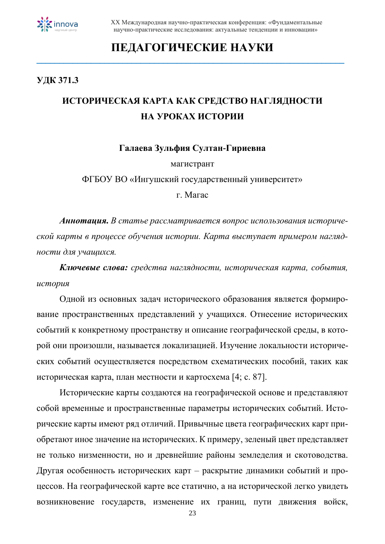

### **ПЕДАГОГИЧЕСКИЕ НАУКИ \_\_\_\_\_\_\_\_\_\_\_\_\_\_\_\_\_\_\_\_\_\_\_\_\_\_\_\_\_\_\_\_\_\_\_\_\_\_\_\_\_\_\_\_\_\_\_\_\_\_\_\_\_\_\_\_\_\_\_\_\_\_\_\_\_\_\_\_**

### **УДК 371.3**

### **ИСТОРИЧЕСКАЯ КАРТА КАК СРЕДСТВО НАГЛЯДНОСТИ НА УРОКАХ ИСТОРИИ**

**Галаева Зульфия Султан-Гириевна**

магистрант

ФГБОУ ВО «Ингушский государственный университет»

г. Магас

*Аннотация. В статье рассматривается вопрос использования исторической карты в процессе обучения истории. Карта выступает примером наглядности для учащихся.*

*Ключевые слова: средства наглядности, историческая карта, события, история*

Одной из основных задач исторического образования является формирование пространственных представлений у учащихся. Отнесение исторических событий к конкретному пространству и описание географической среды, в которой они произошли, называется локализацией. Изучение локальности исторических событий осуществляется посредством схематических пособий, таких как историческая карта, план местности и картосхема [4; с. 87].

Исторические карты создаются на географической основе и представляют собой временные и пространственные параметры исторических событий. Исторические карты имеют ряд отличий. Привычные цвета географических карт приобретают иное значение на исторических. К примеру, зеленый цвет представляет не только низменности, но и древнейшие районы земледелия и скотоводства. Другая особенность исторических карт – раскрытие динамики событий и процессов. На географической карте все статично, а на исторической легко увидеть возникновение государств, изменение их границ, пути движения войск,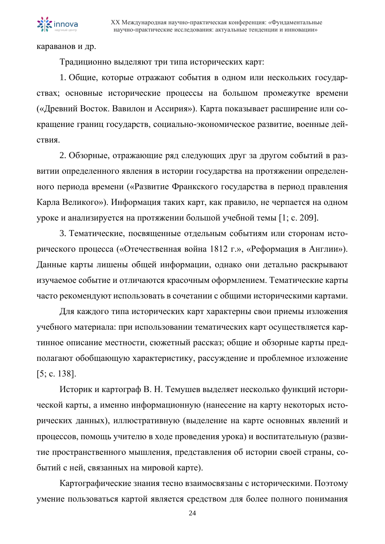караванов и др.

Традиционно выделяют три типа исторических карт:

1. Общие, которые отражают события в одном или нескольких государствах; основные исторические процессы на большом промежутке времени («Древний Восток. Вавилон и Ассирия»). Карта показывает расширение или сокращение границ государств, социально-экономическое развитие, военные действия.

2. Обзорные, отражающие ряд следующих друг за другом событий в развитии определенного явления в истории государства на протяжении определенного периода времени («Развитие Франкского государства в период правления Карла Великого»). Информация таких карт, как правило, не черпается на одном уроке и анализируется на протяжении большой учебной темы [1; с. 209].

3. Тематические, посвященные отдельным событиям или сторонам исторического процесса («Отечественная война 1812 г.», «Реформация в Англии»). Данные карты лишены общей информации, однако они детально раскрывают изучаемое событие и отличаются красочным оформлением. Тематические карты часто рекомендуют использовать в сочетании с общими историческими картами.

Для каждого типа исторических карт характерны свои приемы изложения учебного материала: при использовании тематических карт осуществляется картинное описание местности, сюжетный рассказ; общие и обзорные карты предполагают обобщающую характеристику, рассуждение и проблемное изложение [5; с. 138].

Историк и картограф В. Н. Темушев выделяет несколько функций исторической карты, а именно информационную (нанесение на карту некоторых исторических данных), иллюстративную (выделение на карте основных явлений и процессов, помощь учителю в ходе проведения урока) и воспитательную (развитие пространственного мышления, представления об истории своей страны, событий с ней, связанных на мировой карте).

Картографические знания тесно взаимосвязаны с историческими. Поэтому умение пользоваться картой является средством для более полного понимания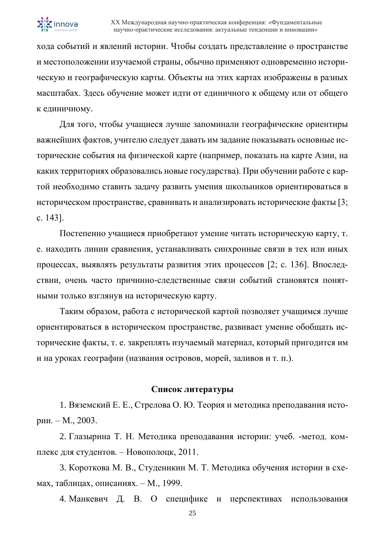

хода событий и явлений истории. Чтобы создать представление о пространстве и местоположении изучаемой страны, обычно применяют одновременно историческую и географическую карты. Объекты на этих картах изображены в разных масштабах. Здесь обучение может идти от единичного к общему или от общего к единичному.

Для того, чтобы учащиеся лучше запоминали географические ориентиры важнейших фактов, учителю следует давать им задание показывать основные исторические события на физической карте (например, показать на карте Азии, на каких территориях образовались новые государства). При обучении работе с картой необходимо ставить задачу развить умения школьников ориентироваться в историческом пространстве, сравнивать и анализировать исторические факты [3; с. 143].

Постепенно учащиеся приобретают умение читать историческую карту, т. е. находить линии сравнения, устанавливать синхронные связи в тех или иных процессах, выявлять результаты развития этих процессов [2; с. 136]. Впоследствии, очень часто причинно-следственные связи событий становятся понятными только взглянув на историческую карту.

Таким образом, работа с исторической картой позволяет учащимся лучше ориентироваться в историческом пространстве, развивает умение обобщать исторические факты, т. е. закреплять изучаемый материал, который пригодится им и на уроках географии (названия островов, морей, заливов и т. п.).

#### **Список литературы**

1. Вяземский Е. Е., Стрелова О. Ю. Теория и методика преподавания истории. – М., 2003.

2. Глазырина Т. Н. Методика преподавания истории: учеб. -метод. комплекс для студентов. – Новополоцк, 2011.

3. Короткова М. В., Студеникин М. Т. Методика обучения истории в схемах, таблицах, описаниях. – М., 1999.

4. Манкевич Д. В. О специфике и перспективах использования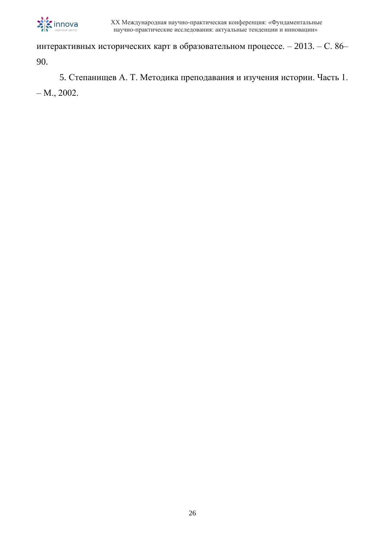

интерактивных исторических карт в образовательном процессе. – 2013. – С. 86– 90.

5. Степанищев А. Т. Методика преподавания и изучения истории. Часть 1. – М., 2002.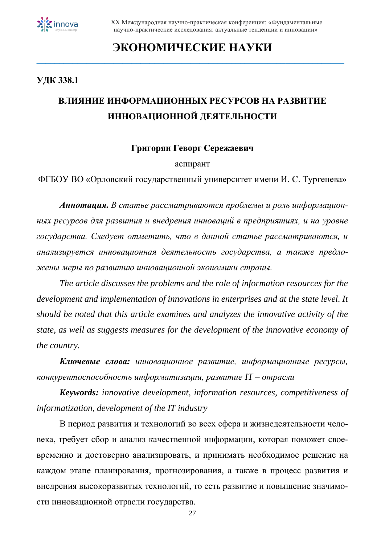

### **ЭКОНОМИЧЕСКИЕ НАУКИ \_\_\_\_\_\_\_\_\_\_\_\_\_\_\_\_\_\_\_\_\_\_\_\_\_\_\_\_\_\_\_\_\_\_\_\_\_\_\_\_\_\_\_\_\_\_\_\_\_\_\_\_\_\_\_\_\_\_\_\_\_\_\_\_\_\_\_\_**

### **УДК 338.1**

### **ВЛИЯНИЕ ИНФОРМАЦИОННЫХ РЕСУРСОВ НА РАЗВИТИЕ ИННОВАЦИОННОЙ ДЕЯТЕЛЬНОСТИ**

### **Григорян Геворг Сережаевич**

#### аспирант

ФГБОУ ВО «Орловский государственный университет имени И. С. Тургенева»

*Аннотация. В статье рассматриваются проблемы и роль информационных ресурсов для развития и внедрения инноваций в предприятиях, и на уровне государства. Следует отметить, что в данной статье рассматриваются, и анализируется инновационная деятельность государства, а также предложены меры по развитию инновационной экономики страны.* 

*The article discusses the problems and the role of information resources for the development and implementation of innovations in enterprises and at the state level. It should be noted that this article examines and analyzes the innovative activity of the state, as well as suggests measures for the development of the innovative economy of the country.*

*Ключевые слова: инновационное развитие, информационные ресурсы, конкурентоспособность информатизации, развитие IT – отрасли*

*Keywords: innovative development, information resources, competitiveness of informatization, development of the IT industry*

В период развития и технологий во всех сфера и жизнедеятельности человека, требует сбор и анализ качественной информации, которая поможет своевременно и достоверно анализировать, и принимать необходимое решение на каждом этапе планирования, прогнозирования, а также в процесс развития и внедрения высокоразвитых технологий, то есть развитие и повышение значимости инновационной отрасли государства.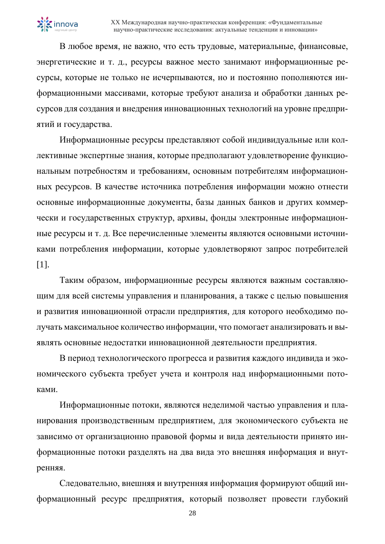В любое время, не важно, что есть трудовые, материальные, финансовые, энергетические и т. д., ресурсы важное место занимают информационные ресурсы, которые не только не исчерпываются, но и постоянно пополняются информационными массивами, которые требуют анализа и обработки данных ресурсов для создания и внедрения инновационных технологий на уровне предприятий и государства.

Информационные ресурсы представляют собой индивидуальные или коллективные экспертные знания, которые предполагают удовлетворение функциональным потребностям и требованиям, основным потребителям информационных ресурсов. В качестве источника потребления информации можно отнести основные информационные документы, базы данных банков и других коммерчески и государственных структур, архивы, фонды электронные информационные ресурсы и т. д. Все перечисленные элементы являются основными источниками потребления информации, которые удовлетворяют запрос потребителей [1].

Таким образом, информационные ресурсы являются важным составляющим для всей системы управления и планирования, а также с целью повышения и развития инновационной отрасли предприятия, для которого необходимо получать максимальное количество информации, что помогает анализировать и выявлять основные недостатки инновационной деятельности предприятия.

В период технологического прогресса и развития каждого индивида и экономического субъекта требует учета и контроля над информационными потоками.

Информационные потоки, являются неделимой частью управления и планирования производственным предприятием, для экономического субъекта не зависимо от организационно правовой формы и вида деятельности принято информационные потоки разделять на два вида это внешняя информация и внутренняя.

Следовательно, внешняя и внутренняя информация формируют общий информационный ресурс предприятия, который позволяет провести глубокий

28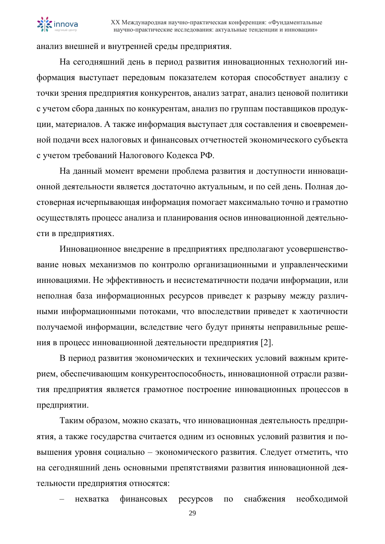

анализ внешней и внутренней среды предприятия.

На сегодняшний день в период развития инновационных технологий информация выступает передовым показателем которая способствует анализу с точки зрения предприятия конкурентов, анализ затрат, анализ ценовой политики с учетом сбора данных по конкурентам, анализ по группам поставщиков продукции, материалов. А также информация выступает для составления и своевременной подачи всех налоговых и финансовых отчетностей экономического субъекта с учетом требований Налогового Кодекса РФ.

На данный момент времени проблема развития и доступности инновационной деятельности является достаточно актуальным, и по сей день. Полная достоверная исчерпывающая информация помогает максимально точно и грамотно осуществлять процесс анализа и планирования основ инновационной деятельности в предприятиях.

Инновационное внедрение в предприятиях предполагают усовершенствование новых механизмов по контролю организационными и управленческими инновациями. Не эффективность и несистематичности подачи информации, или неполная база информационных ресурсов приведет к разрыву между различными информационными потоками, что впоследствии приведет к хаотичности получаемой информации, вследствие чего будут приняты неправильные решения в процесс инновационной деятельности предприятия [2].

В период развития экономических и технических условий важным критерием, обеспечивающим конкурентоспособность, инновационной отрасли развития предприятия является грамотное построение инновационных процессов в предприятии.

Таким образом, можно сказать, что инновационная деятельность предприятия, а также государства считается одним из основных условий развития и повышения уровня социально – экономического развития. Следует отметить, что на сегодняшний день основными препятствиями развития инновационной деятельности предприятия относятся:

– нехватка финансовых ресурсов по снабжения необходимой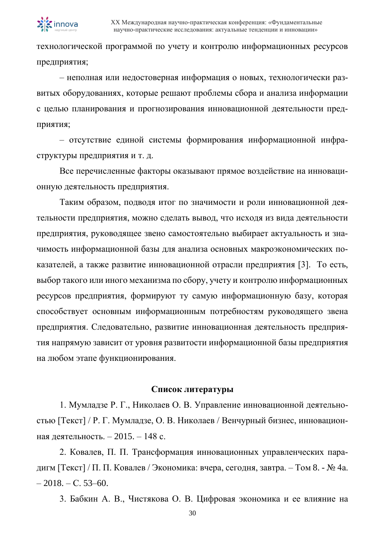

технологической программой по учету и контролю информационных ресурсов предприятия;

– неполная или недостоверная информация о новых, технологически развитых оборудованиях, которые решают проблемы сбора и анализа информации с целью планирования и прогнозирования инновационной деятельности предприятия;

– отсутствие единой системы формирования информационной инфраструктуры предприятия и т. д.

Все перечисленные факторы оказывают прямое воздействие на инновационную деятельность предприятия.

Таким образом, подводя итог по значимости и роли инновационной деятельности предприятия, можно сделать вывод, что исходя из вида деятельности предприятия, руководящее звено самостоятельно выбирает актуальность и значимость информационной базы для анализа основных макроэкономических показателей, а также развитие инновационной отрасли предприятия [3]. То есть, выбор такого или иного механизма по сбору, учету и контролю информационных ресурсов предприятия, формируют ту самую информационную базу, которая способствует основным информационным потребностям руководящего звена предприятия. Следовательно, развитие инновационная деятельность предприятия напрямую зависит от уровня развитости информационной базы предприятия на любом этапе функционирования.

#### **Список литературы**

1. Мумладзе Р. Г., Николаев О. В. Управление инновационной деятельностью [Текст] / Р. Г. Мумладзе, О. В. Николаев / Венчурный бизнес, инновационная деятельность. – 2015. – 148 с.

2. Ковалев, П. П. Трансформация инновационных управленческих парадигм [Текст] / П. П. Ковалев / Экономика: вчера, сегодня, завтра. – Том 8. -  $\mathbb{N}^{\circ}$  4а.  $-2018$ . – C. 53–60.

3. Бабкин А. В., Чистякова О. В. Цифровая экономика и ее влияние на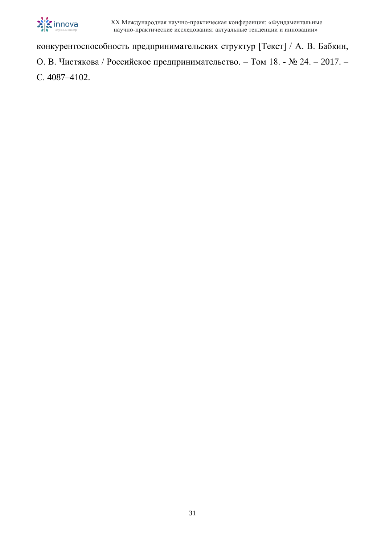

конкурентоспособность предпринимательских структур [Текст] / А. В. Бабкин, О. В. Чистякова / Российское предпринимательство. – Том 18. - № 24. – 2017. – С. 4087–4102.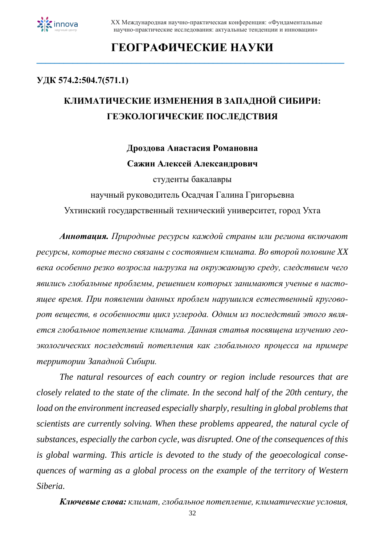

## **ГЕОГРАФИЧЕСКИЕ НАУКИ**

**\_\_\_\_\_\_\_\_\_\_\_\_\_\_\_\_\_\_\_\_\_\_\_\_\_\_\_\_\_\_\_\_\_\_\_\_\_\_\_\_\_\_\_\_\_\_\_\_\_\_\_\_\_\_\_\_\_\_\_\_\_\_\_\_\_\_\_\_**

### **УДК 574.2:504.7(571.1)**

# **КЛИМАТИЧЕСКИЕ ИЗМЕНЕНИЯ В ЗАПАДНОЙ СИБИРИ: ГЕЭКОЛОГИЧЕСКИЕ ПОСЛЕДСТВИЯ**

### **Дроздова Анастасия Романовна Сажин Алексей Александрович**

студенты бакалавры

научный руководитель Осадчая Галина Григорьевна

Ухтинский государственный технический университет, город Ухта

*Аннотация. Природные ресурсы каждой страны или региона включают ресурсы, которые тесно связаны с состоянием климата. Во второй половине XX века особенно резко возросла нагрузка на окружающую среду, следствием чего явились глобальные проблемы, решением которых занимаются ученые в настоящее время. При появлении данных проблем нарушился естественный круговорот веществ, в особенности цикл углерода. Одним из последствий этого является глобальное потепление климата. Данная статья посвящена изучению геоэкологических последствий потепления как глобального процесса на примере территории Западной Сибири.*

*The natural resources of each country or region include resources that are closely related to the state of the climate. In the second half of the 20th century, the*  load on the environment increased especially sharply, resulting in global problems that *scientists are currently solving. When these problems appeared, the natural cycle of substances, especially the carbon cycle, was disrupted. One of the consequences of this is global warming. This article is devoted to the study of the geoecological consequences of warming as a global process on the example of the territory of Western Siberia.*

*Ключевые слова: климат, глобальное потепление, климатические условия,*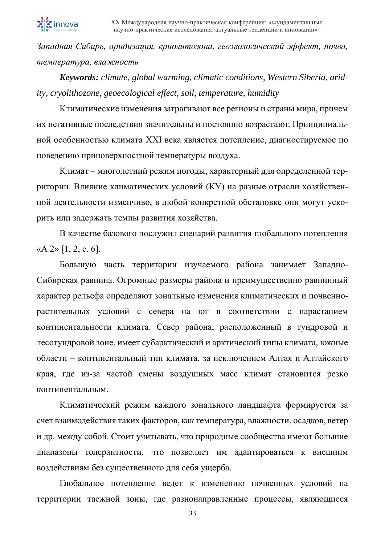

*Западная Сибирь, аридизация, криолитозона, геоэкологический эффект, почва, температура, влажность*

*Keywords: climate, global warming, climatic conditions, Western Siberia, aridity, cryolithozone, geoecological effect, soil, temperature, humidity*

Климатические изменения затрагивают все регионы и страны мира, причем их негативные последствия значительны и постоянно возрастают. Принципиальной особенностью климата XXI века является потепление, диагностируемое по поведению приповерхностной температуры воздуха.

Климат – многолетний режим погоды, характерный для определенной территории. Влияние климатических условий (КУ) на разные отрасли хозяйственной деятельности изменчиво, в любой конкретной обстановке они могут ускорить или задержать темпы развития хозяйства.

В качестве базового послужил сценарий развития глобального потепления « $A$  2» [1, 2, c. 6].

Большую часть территории изучаемого района занимает Западно-Сибирская равнина. Огромные размеры района и преимущественно равнинный характер рельефа определяют зональные изменения климатических и почвеннорастительных условий с севера на юг в соответствии с нарастанием континентальности климата. Север района, расположенный в тундровой и лесотундровой зоне, имеет субарктический и арктический типы климата, южные области – континентальный тип климата, за исключением Алтая и Алтайского края, где из-за частой смены воздушных масс климат становится резко континентальным.

Климатический режим каждого зонального ландшафта формируется за счет взаимодействия таких факторов, как температура, влажности, осадков, ветер и др. между собой. Стоит учитывать, что природные сообщества имеют большие диапазоны толерантности, что позволяет им адаптироваться к внешним воздействиям без существенного для себя ущерба.

Глобальное потепление ведет к изменению почвенных условий на территории таежной зоны, где разнонаправленные процессы, являющиеся

33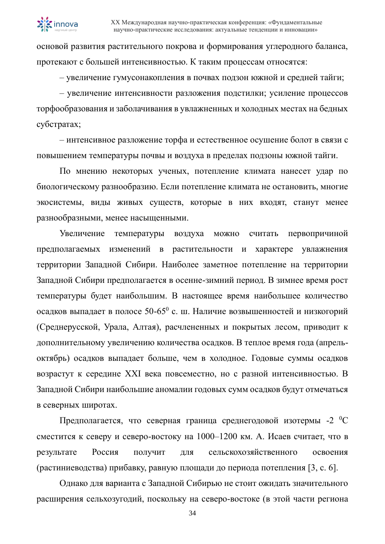

основой развития растительного покрова и формирования углеродного баланса, протекают с большей интенсивностью. К таким процессам относятся:

– увеличение гумусонакопления в почвах подзон южной и средней тайги;

– увеличение интенсивности разложения подстилки; усиление процессов торфообразования и заболачивания в увлажненных и холодных местах на бедных субстратах;

– интенсивное разложение торфа и естественное осушение болот в связи с повышением температуры почвы и воздуха в пределах подзоны южной тайги.

По мнению некоторых ученых, потепление климата нанесет удар по биологическому разнообразию. Если потепление климата не остановить, многие экосистемы, виды живых существ, которые в них входят, станут менее разнообразными, менее насыщенными.

Увеличение температуры воздуха можно считать первопричиной предполагаемых изменений в растительности и характере увлажнения территории Западной Сибири. Наиболее заметное потепление на территории Западной Сибири предполагается в осенне-зимний период. В зимнее время рост температуры будет наибольшим. В настоящее время наибольшее количество осадков выпадает в полосе 50-65<sup>0</sup> с. ш. Наличие возвышенностей и низкогорий (Среднерусской, Урала, Алтая), расчлененных и покрытых лесом, приводит к дополнительному увеличению количества осадков. В теплое время года (апрельоктябрь) осадков выпадает больше, чем в холодное. Годовые суммы осадков возрастут к середине XXI века повсеместно, но с разной интенсивностью. В Западной Сибири наибольшие аномалии годовых сумм осадков будут отмечаться в северных широтах.

Предполагается, что северная граница среднегодовой изотермы -2 <sup>0</sup>С сместится к северу и северо-востоку на 1000–1200 км. А. Исаев считает, что в результате Россия получит для сельскохозяйственного освоения (растиниеводства) прибавку, равную площади до периода потепления [3, с. 6].

Однако для варианта с Западной Сибирью не стоит ожидать значительного расширения сельхозугодий, поскольку на северо-востоке (в этой части региона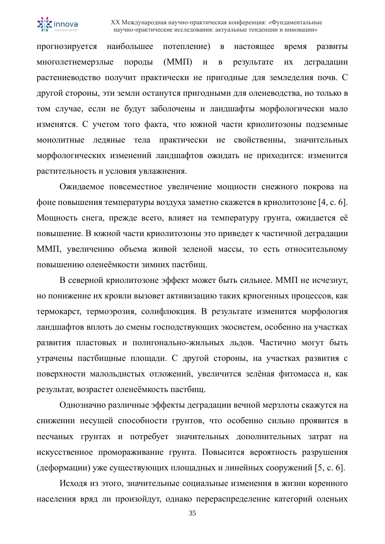

прогнозируется наибольшее потепление) в настоящее время развиты многолетнемерзлые породы (ММП) и в результате их деградации растениеводство получит практически не пригодные для земледелия почв. С другой стороны, эти земли останутся пригодными для оленеводства, но только в том случае, если не будут заболочены и ландшафты морфологически мало изменятся. С учетом того факта, что южной части криолитозоны подземные монолитные ледяные тела практически не свойственны, значительных морфологических изменений ландшафтов ожидать не приходится: изменится растительность и условия увлажнения.

Ожидаемое повсеместное увеличение мощности снежного покрова на фоне повышения температуры воздуха заметно скажется в криолитозоне [4, с. 6]. Мощность снега, прежде всего, влияет на температуру грунта, ожидается её повышение. В южной части криолитозоны это приведет к частичной деградации ММП, увеличению объема живой зеленой массы, то есть относительному повышению оленеёмкости зимних пастбищ.

В северной криолитозоне эффект может быть сильнее. ММП не исчезнут, но понижение их кровли вызовет активизацию таких криогенных процессов, как термокарст, термоэрозия, солифлюкция. В результате изменится морфология ландшафтов вплоть до смены господствующих экосистем, особенно на участках развития пластовых и полигонально-жильных льдов. Частично могут быть утрачены пастбищные площади. С другой стороны, на участках развития с поверхности малольдистых отложений, увеличится зелёная фитомасса и, как результат, возрастет оленеёмкость пастбищ.

Однозначно различные эффекты деградации вечной мерзлоты скажутся на снижении несущей способности грунтов, что особенно сильно проявится в песчаных грунтах и потребует значительных дополнительных затрат на искусственное промораживание грунта. Повысится вероятность разрушения (деформации) уже существующих площадных и линейных сооружений [5, с. 6].

Исходя из этого, значительные социальные изменения в жизни коренного населения вряд ли произойдут, однако перераспределение категорий оленьих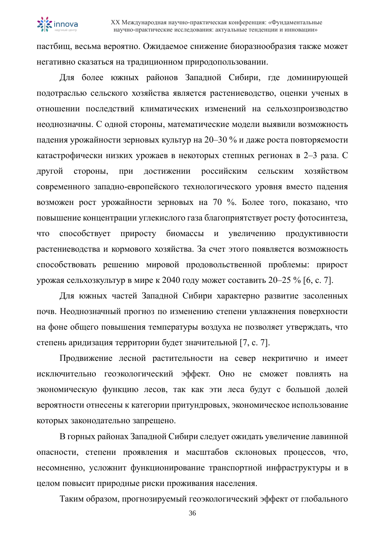

пастбищ, весьма вероятно. Ожидаемое снижение биоразнообразия также может негативно сказаться на традиционном природопользовании.

Для более южных районов Западной Сибири, где доминирующей подотраслью сельского хозяйства является растениеводство, оценки ученых в отношении последствий климатических изменений на сельхозпроизводство неоднозначны. С одной стороны, математические модели выявили возможность падения урожайности зерновых культур на 20–30 % и даже роста повторяемости катастрофически низких урожаев в некоторых степных регионах в 2–3 раза. С другой стороны, при достижении российским сельским хозяйством современного западно-европейского технологического уровня вместо падения возможен рост урожайности зерновых на 70 %. Более того, показано, что повышение концентрации углекислого газа благоприятствует росту фотосинтеза, что способствует приросту биомассы и увеличению продуктивности растениеводства и кормового хозяйства. За счет этого появляется возможность способствовать решению мировой продовольственной проблемы: прирост урожая сельхозкультур в мире к 2040 году может составить 20–25 % [6, с. 7].

Для южных частей Западной Сибири характерно развитие засоленных почв. Неоднозначный прогноз по изменению степени увлажнения поверхности на фоне общего повышения температуры воздуха не позволяет утверждать, что степень аридизация территории будет значительной [7, с. 7].

Продвижение лесной растительности на север некритично и имеет исключительно геоэкологический эффект. Оно не сможет повлиять на экономическую функцию лесов, так как эти леса будут с большой долей вероятности отнесены к категории притундровых, экономическое использование которых законодательно запрещено.

В горных районах Западной Сибири следует ожидать увеличение лавинной опасности, степени проявления и масштабов склоновых процессов, что, несомненно, усложнит функционирование транспортной инфраструктуры и в целом повысит природные риски проживания населения.

Таким образом, прогнозируемый геоэкологический эффект от глобального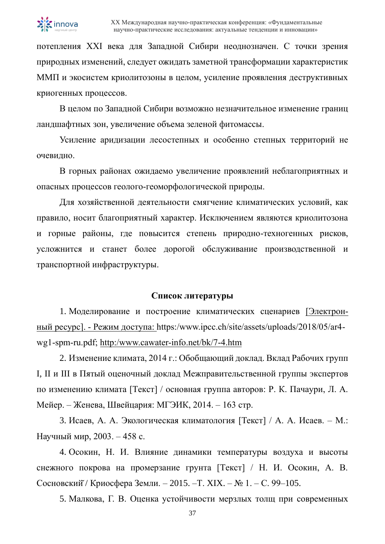

потепления ХХI века для Западной Сибири неоднозначен. С точки зрения природных изменений, следует ожидать заметной трансформации характеристик ММП и экосистем криолитозоны в целом, усиление проявления деструктивных криогенных процессов.

В целом по Западной Сибири возможно незначительное изменение границ ландшафтных зон, увеличение объема зеленой фитомассы.

Усиление аридизации лесостепных и особенно степных территорий не очевидно.

В горных районах ожидаемо увеличение проявлений неблагоприятных и опасных процессов геолого-геоморфологической природы.

Для хозяйственной деятельности смягчение климатических условий, как правило, носит благоприятный характер. Исключением являются криолитозона и горные районы, где повысится степень природно-техногенных рисков, усложнится и станет более дорогой обслуживание производственной и транспортной инфраструктуры.

#### **Список литературы**

1. Моделирование и построение климатических сценариев [Электронный ресурс]. - Режим доступа: https:/www.ipcc.ch/site/assets/uploads/2018/05/ar4 wg1-spm-ru.pdf; [http:/www.cawater-info.net/bk/7-4.htm](http://www.cawater-info.net/bk/7-4.htm)

2. Изменение климата, 2014 г.: Обобщающий доклад. Вклад Рабочих групп I, II и III в Пятый оценочный доклад Межправительственной группы экспертов по изменению климата [Текст] / основная группа авторов: Р. К. Пачаури, Л. А. Мейер. – Женева, Швейцария: МГЭИК, 2014. – 163 стр.

3. Исаев, А. А. Экологическая климатология [Текст] / А. А. Исаев. – М.: Научный мир, 2003. – 458 с.

4. Осокин, Н. И. Влияние динамики температуры воздуха и высоты снежного покрова на промерзание грунта [Текст] / Н. И. Осокин, А. В. Сосновский̆/ Криосфера Земли. – 2015. –Т. XIX. – № 1. – С. 99–105.

5. Малкова, Г. В. Оценка устойчивости мерзлых толщ при современных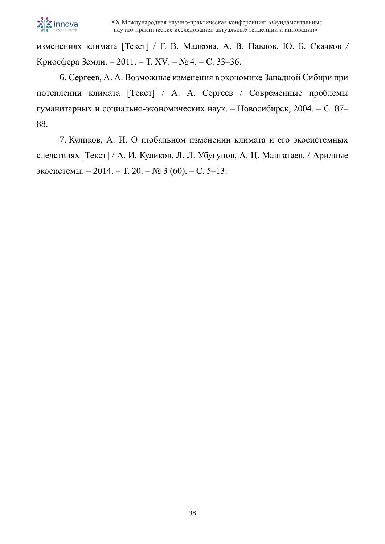

изменениях климата [Текст] / Г. В. Малкова, А. В. Павлов, Ю. Б. Скачков */* Криосфера Земли. – 2011. – Т. XV. – № 4. – С. 33–36.

6. Сергеев, А. А. Возможные изменения в экономике Западной Сибири при потеплении климата [Текст] / А. А. Сергеев / Современные проблемы гуманитарных и социально-экономических наук. – Новосибирск, 2004. – С. 87– 88.

7. Куликов, А. И. О глобальном изменении климата и его экосистемных следствиях [Текст] / А. И. Куликов, Л. Л. Убугунов, А. Ц. Мангатаев. / Аридные экосистемы. – 2014. – Т. 20. – № 3 (60). – С. 5–13.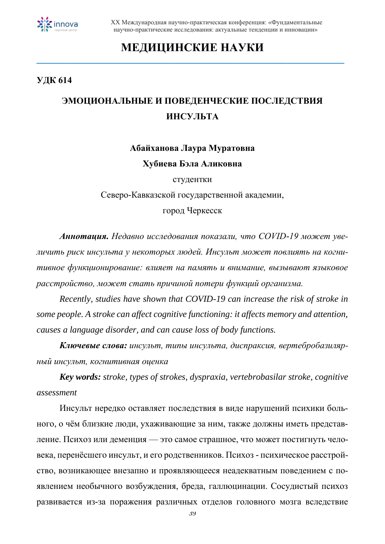

### **МЕДИЦИНСКИЕ НАУКИ \_\_\_\_\_\_\_\_\_\_\_\_\_\_\_\_\_\_\_\_\_\_\_\_\_\_\_\_\_\_\_\_\_\_\_\_\_\_\_\_\_\_\_\_\_\_\_\_\_\_\_\_\_\_\_\_\_\_\_\_\_\_\_\_\_\_\_\_**

### **УДК 614**

### **ЭМОЦИОНАЛЬНЫЕ И ПОВЕДЕНЧЕСКИЕ ПОСЛЕДСТВИЯ ИНСУЛЬТА**

## **Абайханова Лаура Муратовна Хубиева Бэла Аликовна**

студентки

Северо-Кавказской государственной академии,

город Черкесск

*Аннотация. Недавно исследования показали, что COVID-19 может увеличить риск инсульта у некоторых людей. Инсульт может повлиять на когнитивное функционирование: влияет на память и внимание, вызывают языковое расстройство, может стать причиной потери функций организма.*

*Recently, studies have shown that COVID-19 can increase the risk of stroke in some people. A stroke can affect cognitive functioning: it affects memory and attention, causes a language disorder, and can cause loss of body functions.*

*Ключевые слова: инсульт, типы инсульта, диспраксия, вертебробазилярный инсульт, когнитивная оценка*

*Key words: stroke, types of strokes, dyspraxia, vertebrobasilar stroke, cognitive assessment*

Инсульт нередко оставляет последствия в виде нарушений психики больного, о чём близкие люди, ухаживающие за ним, также должны иметь представление. Психоз или деменция — это самое страшное, что может постигнуть человека, перенёсшего инсульт, и его родственников. Психоз - психическое расстройство, возникающее внезапно и проявляющееся неадекватным поведением с появлением необычного возбуждения, бреда, галлюцинации. Сосудистый психоз развивается из-за поражения различных отделов головного мозга вследствие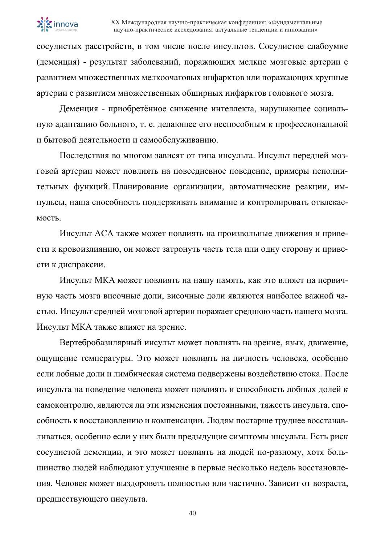

сосудистых расстройств, в том числе после инсультов. Сосудистое слабоумие (деменция) - результат заболеваний, поражающих мелкие мозговые артерии с развитием множественных мелкоочаговых инфарктов или поражающих крупные артерии с развитием множественных обширных инфарктов головного мозга.

Деменция - приобретённое снижение интеллекта, нарушающее социальную адаптацию больного, т. е. делающее его неспособным к профессиональной и бытовой деятельности и самообслуживанию.

Последствия во многом зависят от типа инсульта. Инсульт передней мозговой артерии может повлиять на повседневное поведение, примеры исполнительных функций. Планирование организации, автоматические реакции, импульсы, наша способность поддерживать внимание и контролировать отвлекаемость.

Инсульт ACA также может повлиять на произвольные движения и привести к кровоизлиянию, он может затронуть часть тела или одну сторону и привести к диспраксии.

Инсульт МКА может повлиять на нашу память, как это влияет на первичную часть мозга височные доли, височные доли являются наиболее важной частью. Инсульт средней мозговой артерии поражает среднюю часть нашего мозга. Инсульт МКА также влияет на зрение.

Вертебробазилярный инсульт может повлиять на зрение, язык, движение, ощущение температуры. Это может повлиять на личность человека, особенно если лобные доли и лимбическая система подвержены воздействию стока. После инсульта на поведение человека может повлиять и способность лобных долей к самоконтролю, являются ли эти изменения постоянными, тяжесть инсульта, способность к восстановлению и компенсации. Людям постарше труднее восстанавливаться, особенно если у них были предыдущие симптомы инсульта. Есть риск сосудистой деменции, и это может повлиять на людей по-разному, хотя большинство людей наблюдают улучшение в первые несколько недель восстановления. Человек может выздороветь полностью или частично. Зависит от возраста, предшествующего инсульта.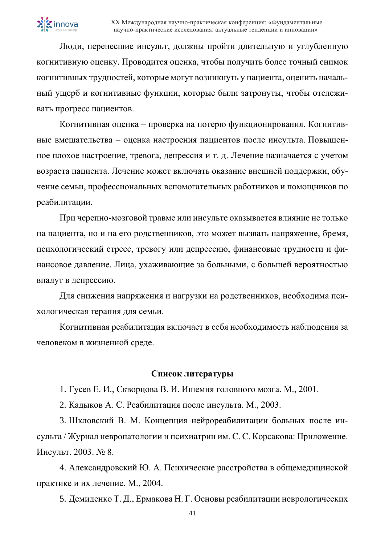Люди, перенесшие инсульт, должны пройти длительную и углубленную когнитивную оценку. Проводится оценка, чтобы получить более точный снимок когнитивных трудностей, которые могут возникнуть у пациента, оценить начальный ущерб и когнитивные функции, которые были затронуты, чтобы отслеживать прогресс пациентов.

Когнитивная оценка – проверка на потерю функционирования. Когнитивные вмешательства – оценка настроения пациентов после инсульта. Повышенное плохое настроение, тревога, депрессия и т. д. Лечение назначается с учетом возраста пациента. Лечение может включать оказание внешней поддержки, обучение семьи, профессиональных вспомогательных работников и помощников по реабилитации.

При черепно-мозговой травме или инсульте оказывается влияние не только на пациента, но и на его родственников, это может вызвать напряжение, бремя, психологический стресс, тревогу или депрессию, финансовые трудности и финансовое давление. Лица, ухаживающие за больными, с большей вероятностью впадут в депрессию.

Для снижения напряжения и нагрузки на родственников, необходима психологическая терапия для семьи.

Когнитивная реабилитация включает в себя необходимость наблюдения за человеком в жизненной среде.

### **Список литературы**

1. Гусев Е. И., Скворцова В. И. Ишемия головного мозга. М., 2001.

2. Кадыков А. С. Реабилитация после инсульта. М., 2003.

3. Шкловский В. М. Концепция нейрореабилитации больных после инсульта / Журнал невропатологии и психиатрии им. С. С. Корсакова: Приложение. Инсульт. 2003. № 8.

4. Александровский Ю. А. Психические расстройства в общемедицинской практике и их лечение. М., 2004.

5. Демиденко Т. Д., Ермакова Н. Г. Основы реабилитации неврологических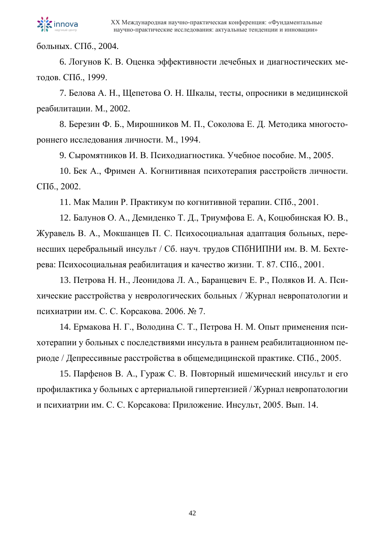

больных. СПб., 2004.

6. Логунов К. В. Оценка эффективности лечебных и диагностических методов. СПб., 1999.

7. Белова А. Н., Щепетова О. Н. Шкалы, тесты, опросники в медицинской реабилитации. М., 2002.

8. Березин Ф. Б., Мирошников М. П., Соколова Е. Д. Методика многостороннего исследования личности. М., 1994.

9. Сыромятников И. В. Психодиагностика. Учебное пособие. М., 2005.

10. Бек А., Фримен А. Когнитивная психотерапия расстройств личности. СПб., 2002.

11. Мак Малин Р. Практикум по когнитивной терапии. СПб., 2001.

12. Балунов О. А., Демиденко Т. Д., Триумфова Е. А, Коцюбинская Ю. В., Журавель В. А., Мокшанцев П. С. Психосоциальная адаптация больных, перенесших церебральный инсульт / Сб. науч. трудов СПбНИПНИ им. В. М. Бехтерева: Психосоциальная реабилитация и качество жизни. Т. 87. СПб., 2001.

13. Петрова Н. Н., Леонидова Л. А., Баранцевич Е. Р., Поляков И. А. Психические расстройства у неврологических больных / Журнал невропатологии и психиатрии им. С. С. Корсакова. 2006. № 7.

14. Ермакова Н. Г., Володина С. Т., Петрова Н. М. Опыт применения психотерапии у больных с последствиями инсульта в раннем реабилитационном периоде / Депрессивные расстройства в общемедицинской практике. СПб., 2005.

15. Парфенов В. А., Гураж С. В. Повторный ишемический инсульт и его профилактика у больных с артериальной гипертензией / Журнал невропатологии и психиатрии им. С. С. Корсакова: Приложение. Инсульт, 2005. Вып. 14.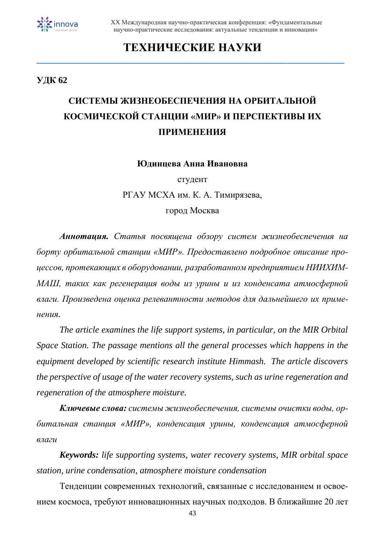

### **ТЕХНИЧЕСКИЕ НАУКИ**

**\_\_\_\_\_\_\_\_\_\_\_\_\_\_\_\_\_\_\_\_\_\_\_\_\_\_\_\_\_\_\_\_\_\_\_\_\_\_\_\_\_\_\_\_\_\_\_\_\_\_\_\_\_\_\_\_\_\_\_\_\_\_\_\_\_\_\_\_**

#### **УДК 62**

# **СИСТЕМЫ ЖИЗНЕОБЕСПЕЧЕНИЯ НА ОРБИТАЛЬНОЙ КОСМИЧЕСКОЙ СТАНЦИИ «МИР» И ПЕРСПЕКТИВЫ ИХ ПРИМЕНЕНИЯ**

**Юдинцева Анна Ивановна**

студент РГАУ МСХА им. К. А. Тимирязева,

город Москва

*Аннотация. Статья посвящена обзору систем жизнеобеспечения на борту орбитальной станции «МИР». Предоставлено подробное описание процессов, протекающих в оборудовании, разработанном предприятием НИИХИМ-МАШ, таких как регенерация воды из урины и из конденсата атмосферной влаги. Произведена оценка релевантности методов для дальнейшего их применения.*

*The article examines the life support systems, in particular, on the MIR Orbital Space Station. The passage mentions all the general processes which happens in the equipment developed by scientific research institute Himmash. The article discovers the perspective of usage of the water recovery systems, such as urine regeneration and regeneration of the atmosphere moisture.*

*Ключевые слова: системы жизнеобеспечения, системы очистки воды, орбитальная станция «МИР», конденсация урины, конденсация атмосферной влаги*

*Keywords: life supporting systems, water recovery systems, MIR orbital space station, urine condensation, atmosphere moisture condensation*

Тенденции современных технологий, связанные с исследованием и освоением космоса, требуют инновационных научных подходов. В ближайшие 20 лет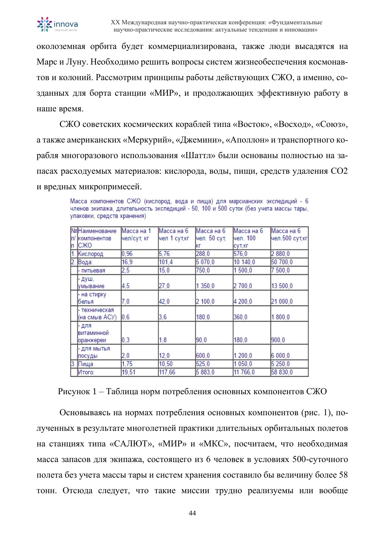

околоземная орбита будет коммерциализирована, также люди высадятся на Марс и Луну. Необходимо решить вопросы систем жизнеобеспечения космонавтов и колоний. Рассмотрим принципы работы действующих СЖО, а именно, созданных для борта станции «МИР», и продолжающих эффективную работу в наше время.

СЖО советских космических кораблей типа «Восток», «Восход», «Союз», а также американских «Меркурий», «Джемини», «Аполлон» и транспортного корабля многоразового использования «Шаттл» были основаны полностью на запасах расходуемых материалов: кислорода, воды, пищи, средств удаления СО2 и вредных микропримесей.

| Масса компонентов СЖО (кислород, вода и пища) для марсианских экспедиций - 6         |  |  |  |  |  |
|--------------------------------------------------------------------------------------|--|--|--|--|--|
| членов экипажа, длительность экспедиций - 50, 100 и 500 суток (без учета массы тары, |  |  |  |  |  |
| упаковки, средств хранения).                                                         |  |  |  |  |  |

| Iп  | №Наименование<br>п/ Ікомпонентов<br>ICЖO | Масса на 1<br>чел/сут, кг | Масса на 6<br>чел 1 сут,кг | Масса на 6<br>чел. 50 сут,<br>КΓ | Масса на 6<br>lчел. 100<br>сут,кг | Масса на 6<br>чел.500 сут,кг |
|-----|------------------------------------------|---------------------------|----------------------------|----------------------------------|-----------------------------------|------------------------------|
|     | Кислород                                 | 0,96                      | 5,76                       | 288,0                            | 576.0                             | 2880,0                       |
|     | Вода:                                    | 16,9                      | 101.4                      | 5 070,0                          | 10 140,0                          | 50 700,0                     |
|     | питьевая                                 | 2,5                       | 15,0                       | 750,0                            | 1500,0                            | 7500,0                       |
|     | душ,<br>умывание                         | 4,5                       | 27,0                       | 1 350,0                          | 2 700,0                           | 13 500,0                     |
|     | на стирку<br>белья                       | 7,0                       | 42,0                       | 2100,0                           | 4 200,0                           | 21 000,0                     |
|     | техническая<br>(на смыв АСУ)             | $ 0,6\rangle$             | 3,6                        | 180.0                            | 360.0                             | 1800.0                       |
|     | для<br>витаминной<br>оранжереи           | 0,3                       | 1,8                        | 90.0                             | 180,0                             | 900,0                        |
|     | катым клд<br>посуды                      | 2,0                       | 12,0                       | 600.0                            | 1 200,0                           | 6 000.0                      |
| 13. | Пища                                     | 1,75                      | 10,50                      | 525,0                            | 1 050,0                           | 5 250,0                      |
|     | Итого:                                   | 19,51                     | 117,66                     | 5 883.0                          | 11 766,0                          | 58 830.0                     |

Рисунок 1 – Таблица норм потребления основных компонентов СЖО

Основываясь на нормах потребления основных компонентов (рис. 1), полученных в результате многолетней практики длительных орбитальных полетов на станциях типа «САЛЮТ», «МИР» и «МКС», посчитаем, что необходимая масса запасов для экипажа, состоящего из 6 человек в условиях 500-суточного полета без учета массы тары и систем хранения составило бы величину более 58 тонн. Отсюда следует, что такие миссии трудно реализуемы или вообще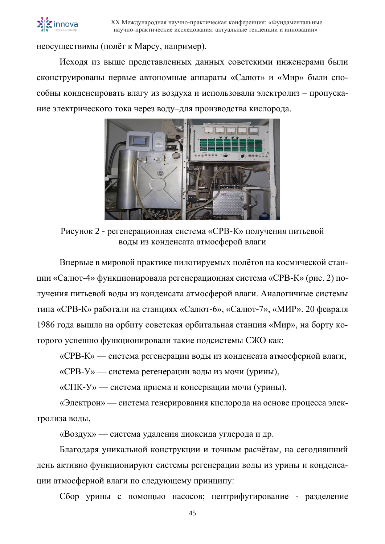

неосуществимы (полёт к Марсу, например).

Исходя из выше представленных данных советскими инженерами были сконструированы первые автономные аппараты «Салют» и «Мир» были способны конденсировать влагу из воздуха и использовали электролиз – пропускание электрического тока через воду–для производства кислорода.



Рисунок 2 - регенерационная система «СРВ-К» получения питьевой воды из конденсата атмосферой влаги

Впервые в мировой практике пилотируемых полётов на космической станции «Салют-4» функционировала регенерационная система «СРВ-К» (рис. 2) получения питьевой воды из конденсата атмосферой влаги. Аналогичные системы типа «СРВ-К» работали на станциях «Салют-6», «Салют-7», «МИР». 20 февраля 1986 года вышла на орбиту советская орбитальная станция «Мир», на борту которого успешно функционировали такие подсистемы СЖО как:

«СРВ-К» — система регенерации воды из конденсата атмосферной влаги,

«СРВ-У» — система регенерации воды из мочи (урины),

«СПК-У» — система приема и консервации мочи (урины),

«Электрон» — система генерирования кислорода на основе процесса электролиза воды,

«Воздух» — система удаления диоксида углерода и др.

Благодаря уникальной конструкции и точным расчётам, на сегодняшний день активно функционируют системы регенерации воды из урины и конденсации атмосферной влаги по следующему принципу:

Сбор урины с помощью насосов; центрифугирование - разделение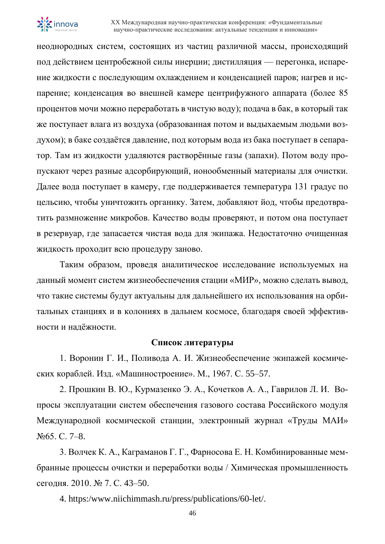

неоднородных систем, состоящих из частиц различной массы, происходящий под действием центробежной силы инерции; дистилляция — перегонка, испарение жидкости с последующим охлаждением и конденсацией паров; нагрев и испарение; конденсация во внешней камере центрифужного аппарата (более 85 процентов мочи можно переработать в чистую воду); подача в бак, в который так же поступает влага из воздуха (образованная потом и выдыхаемым людьми воздухом); в баке создаётся давление, под которым вода из бака поступает в сепаратор. Там из жидкости удаляются растворённые газы (запахи). Потом воду пропускают через разные адсорбирующий, ионообменный материалы для очистки. Далее вода поступает в камеру, где поддерживается температура 131 градус по цельсию, чтобы уничтожить органику. Затем, добавляют йод, чтобы предотвратить размножение микробов. Качество воды проверяют, и потом она поступает в резервуар, где запасается чистая вода для экипажа. Недостаточно очищенная жидкость проходит всю процедуру заново.

Таким образом, проведя аналитическое исследование используемых на данный момент систем жизнеобеспечения стации «МИР», можно сделать вывод, что такие системы будут актуальны для дальнейшего их использования на орбитальных станциях и в колониях в дальнем космосе, благодаря своей эффективности и надёжности.

#### **Список литературы**

1. Воронин Г. И., Поливода А. И. Жизнеобеспечение экипажей космических кораблей. Изд. «Машиностроение». М., 1967. С. 55–57.

2. Прошкин В. Ю., Курмазенко Э. А., Кочетков А. А., Гаврилов Л. И. Вопросы эксплуатации систем обеспечения газового состава Российского модуля Международной космической станции, электронный журнал «Труды МАИ» №65. С. 7–8.

3. Волчек К. А., Каграманов Г. Г., Фарносова Е. Н. Комбинированные мембранные процессы очистки и переработки воды / Химическая промышленность сегодня. 2010. № 7. С. 43–50.

4. https:/www.niichimmash.ru/press/publications/60-let/.